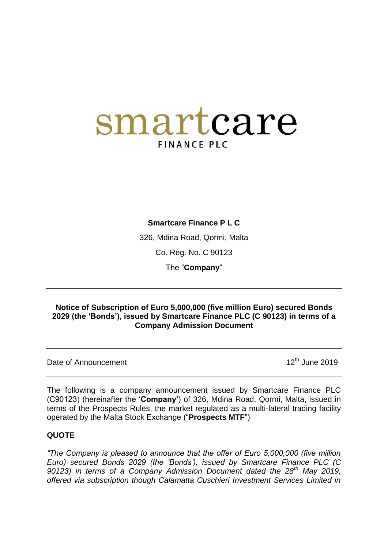# smartcare **FINANCE PLC**

## **Smartcare Finance P L C**

326, Mdina Road, Qormi, Malta

Co. Reg. No. C 90123

The "**Company**"

#### **Notice of Subscription of Euro 5,000,000 (five million Euro) secured Bonds 2029 (the 'Bonds'), issued by Smartcare Finance PLC (C 90123) in terms of a Company Admission Document**

Date of Announcement 2019

The following is a company announcement issued by Smartcare Finance PLC (C90123) (hereinafter the "**Company'**) of 326, Mdina Road, Qormi, Malta, issued in terms of the Prospects Rules, the market regulated as a multi-lateral trading facility operated by the Malta Stock Exchange ("**Prospects MTF**")

## **QUOTE**

*"The Company is pleased to announce that the offer of Euro 5,000,000 (five million Euro) secured Bonds 2029 (the "Bonds"), issued by Smartcare Finance PLC (C 90123) in terms of a Company Admission Document dated the 28th May 2019, offered via subscription though Calamatta Cuschieri Investment Services Limited in*